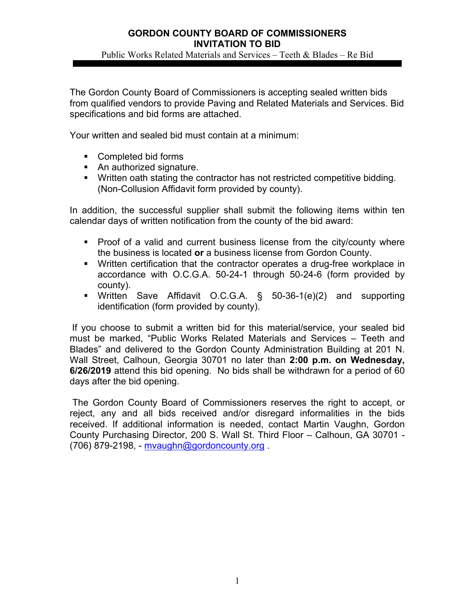### **GORDON COUNTY BOARD OF COMMISSIONERS INVITATION TO BID**  Public Works Related Materials and Services – Teeth & Blades – Re Bid

The Gordon County Board of Commissioners is accepting sealed written bids from qualified vendors to provide Paving and Related Materials and Services. Bid specifications and bid forms are attached.

Your written and sealed bid must contain at a minimum:

- Completed bid forms
- An authorized signature.
- Written oath stating the contractor has not restricted competitive bidding. (Non-Collusion Affidavit form provided by county).

In addition, the successful supplier shall submit the following items within ten calendar days of written notification from the county of the bid award:

- **Proof of a valid and current business license from the city/county where** the business is located **or** a business license from Gordon County.
- Written certification that the contractor operates a drug-free workplace in accordance with O.C.G.A. 50-24-1 through 50-24-6 (form provided by county).
- Written Save Affidavit O.C.G.A. § 50-36-1(e)(2) and supporting identification (form provided by county).

If you choose to submit a written bid for this material/service, your sealed bid must be marked, "Public Works Related Materials and Services – Teeth and Blades" and delivered to the Gordon County Administration Building at 201 N. Wall Street, Calhoun, Georgia 30701 no later than **2:00 p.m. on Wednesday, 6/26/2019** attend this bid opening. No bids shall be withdrawn for a period of 60 days after the bid opening.

 The Gordon County Board of Commissioners reserves the right to accept, or reject, any and all bids received and/or disregard informalities in the bids received. If additional information is needed, contact Martin Vaughn, Gordon County Purchasing Director, 200 S. Wall St. Third Floor – Calhoun, GA 30701 - (706) 879-2198, - mvaughn@gordoncounty.org .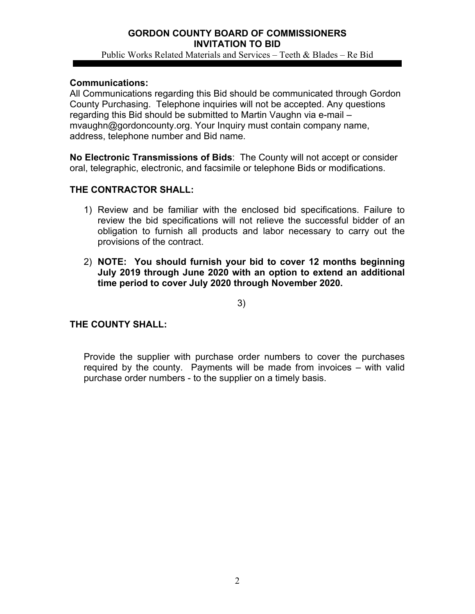## **GORDON COUNTY BOARD OF COMMISSIONERS INVITATION TO BID**  Public Works Related Materials and Services – Teeth & Blades – Re Bid

### **Communications:**

All Communications regarding this Bid should be communicated through Gordon County Purchasing. Telephone inquiries will not be accepted. Any questions regarding this Bid should be submitted to Martin Vaughn via e-mail – mvaughn@gordoncounty.org. Your Inquiry must contain company name, address, telephone number and Bid name.

**No Electronic Transmissions of Bids**: The County will not accept or consider oral, telegraphic, electronic, and facsimile or telephone Bids or modifications.

## **THE CONTRACTOR SHALL:**

- 1) Review and be familiar with the enclosed bid specifications. Failure to review the bid specifications will not relieve the successful bidder of an obligation to furnish all products and labor necessary to carry out the provisions of the contract.
- 2) **NOTE: You should furnish your bid to cover 12 months beginning July 2019 through June 2020 with an option to extend an additional time period to cover July 2020 through November 2020.**

3)

## **THE COUNTY SHALL:**

Provide the supplier with purchase order numbers to cover the purchases required by the county. Payments will be made from invoices – with valid purchase order numbers - to the supplier on a timely basis.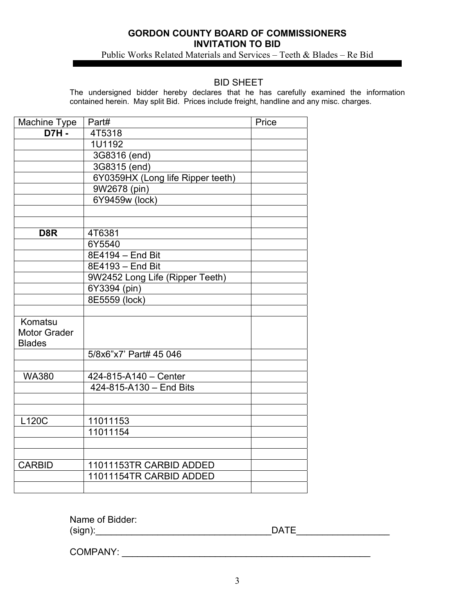## **GORDON COUNTY BOARD OF COMMISSIONERS INVITATION TO BID**

Public Works Related Materials and Services – Teeth & Blades – Re Bid

### BID SHEET

The undersigned bidder hereby declares that he has carefully examined the information contained herein. May split Bid. Prices include freight, handline and any misc. charges.

| Machine Type        | Part#                             | Price |
|---------------------|-----------------------------------|-------|
| <b>D7H-</b>         | 4T5318                            |       |
|                     | 1U1192                            |       |
|                     | 3G8316 (end)                      |       |
|                     | 3G8315 (end)                      |       |
|                     | 6Y0359HX (Long life Ripper teeth) |       |
|                     | 9W2678 (pin)                      |       |
|                     | 6Y9459w (lock)                    |       |
|                     |                                   |       |
|                     |                                   |       |
| D <sub>8</sub> R    | 4T6381                            |       |
|                     | 6Y5540                            |       |
|                     | 8E4194 - End Bit                  |       |
|                     | 8E4193 - End Bit                  |       |
|                     | 9W2452 Long Life (Ripper Teeth)   |       |
|                     | 6Y3394 (pin)                      |       |
|                     | 8E5559 (lock)                     |       |
|                     |                                   |       |
| Komatsu             |                                   |       |
| <b>Motor Grader</b> |                                   |       |
| <b>Blades</b>       |                                   |       |
|                     | 5/8x6"x7' Part# 45 046            |       |
|                     |                                   |       |
| <b>WA380</b>        | 424-815-A140 - Center             |       |
|                     | 424-815-A130 - End Bits           |       |
|                     |                                   |       |
|                     |                                   |       |
| L120C               | 11011153                          |       |
|                     | 11011154                          |       |
|                     |                                   |       |
|                     |                                   |       |
| <b>CARBID</b>       | 11011153TR CARBID ADDED           |       |
|                     | 11011154TR CARBID ADDED           |       |
|                     |                                   |       |

Name of Bidder: (sign):\_\_\_\_\_\_\_\_\_\_\_\_\_\_\_\_\_\_\_\_\_\_\_\_\_\_\_\_\_\_\_\_\_\_DATE\_\_\_\_\_\_\_\_\_\_\_\_\_\_\_\_\_\_

COMPANY: \_\_\_\_\_\_\_\_\_\_\_\_\_\_\_\_\_\_\_\_\_\_\_\_\_\_\_\_\_\_\_\_\_\_\_\_\_\_\_\_\_\_\_\_\_\_\_\_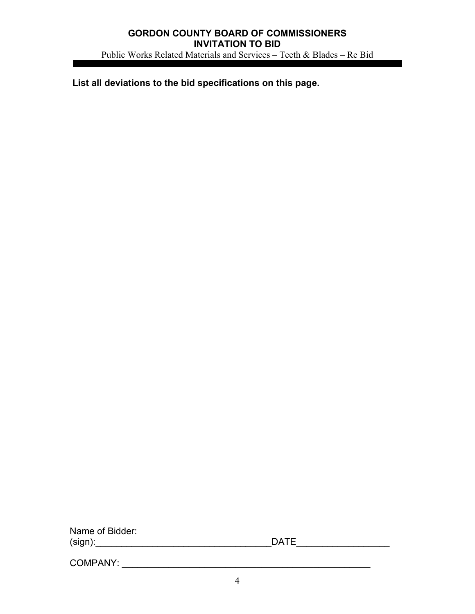**List all deviations to the bid specifications on this page.** 

Name of Bidder: (sign):\_\_\_\_\_\_\_\_\_\_\_\_\_\_\_\_\_\_\_\_\_\_\_\_\_\_\_\_\_\_\_\_\_\_DATE\_\_\_\_\_\_\_\_\_\_\_\_\_\_\_\_\_\_

COMPANY: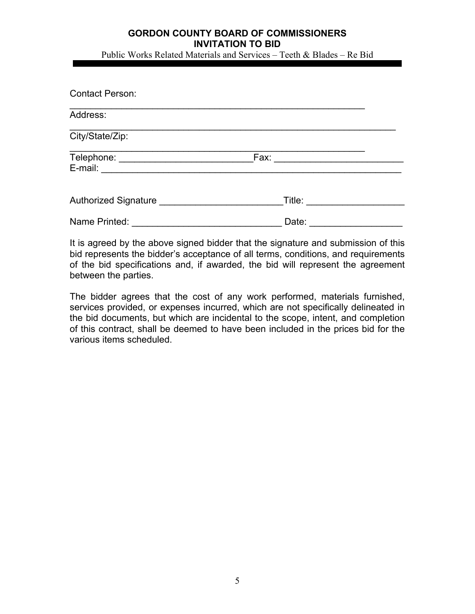# **GORDON COUNTY BOARD OF COMMISSIONERS INVITATION TO BID**

Public Works Related Materials and Services – Teeth & Blades – Re Bid

| <b>Contact Person:</b> |        |  |
|------------------------|--------|--|
| Address:               |        |  |
| City/State/Zip:        |        |  |
|                        | Fax:   |  |
| Authorized Signature   | Title: |  |
| Name Printed:          | Date:  |  |

It is agreed by the above signed bidder that the signature and submission of this bid represents the bidder's acceptance of all terms, conditions, and requirements of the bid specifications and, if awarded, the bid will represent the agreement between the parties.

The bidder agrees that the cost of any work performed, materials furnished, services provided, or expenses incurred, which are not specifically delineated in the bid documents, but which are incidental to the scope, intent, and completion of this contract, shall be deemed to have been included in the prices bid for the various items scheduled.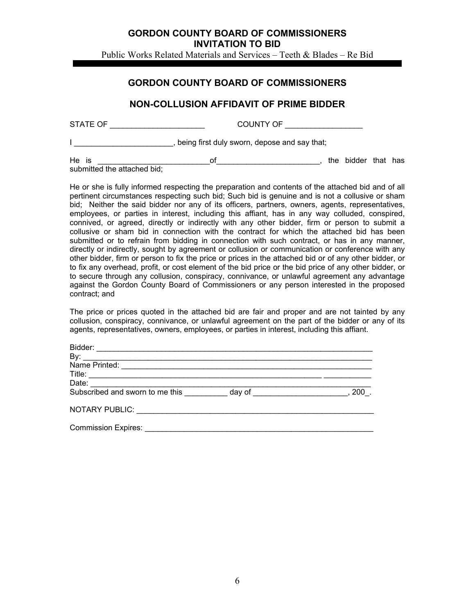#### **GORDON COUNTY BOARD OF COMMISSIONERS INVITATION TO BID**

Public Works Related Materials and Services – Teeth & Blades – Re Bid

## **GORDON COUNTY BOARD OF COMMISSIONERS**

## **NON-COLLUSION AFFIDAVIT OF PRIME BIDDER**

| STATE OF | COUNTY OF                                      |
|----------|------------------------------------------------|
|          | , being first duly sworn, depose and say that; |

He is \_\_\_\_\_\_\_\_\_\_\_\_\_\_\_\_\_\_\_\_\_\_\_\_\_\_of\_\_\_\_\_\_\_\_\_\_\_\_\_\_\_\_\_\_\_\_\_\_\_\_, the bidder that has submitted the attached bid;

He or she is fully informed respecting the preparation and contents of the attached bid and of all pertinent circumstances respecting such bid; Such bid is genuine and is not a collusive or sham bid; Neither the said bidder nor any of its officers, partners, owners, agents, representatives, employees, or parties in interest, including this affiant, has in any way colluded, conspired, connived, or agreed, directly or indirectly with any other bidder, firm or person to submit a collusive or sham bid in connection with the contract for which the attached bid has been submitted or to refrain from bidding in connection with such contract, or has in any manner, directly or indirectly, sought by agreement or collusion or communication or conference with any other bidder, firm or person to fix the price or prices in the attached bid or of any other bidder, or to fix any overhead, profit, or cost element of the bid price or the bid price of any other bidder, or to secure through any collusion, conspiracy, connivance, or unlawful agreement any advantage against the Gordon County Board of Commissioners or any person interested in the proposed contract; and

The price or prices quoted in the attached bid are fair and proper and are not tainted by any collusion, conspiracy, connivance, or unlawful agreement on the part of the bidder or any of its agents, representatives, owners, employees, or parties in interest, including this affiant.

| By:                             |     |
|---------------------------------|-----|
| Name Printed:                   |     |
|                                 |     |
|                                 |     |
| Subscribed and sworn to me this | 200 |
|                                 |     |
|                                 |     |
|                                 |     |
| <b>Commission Expires:</b>      |     |